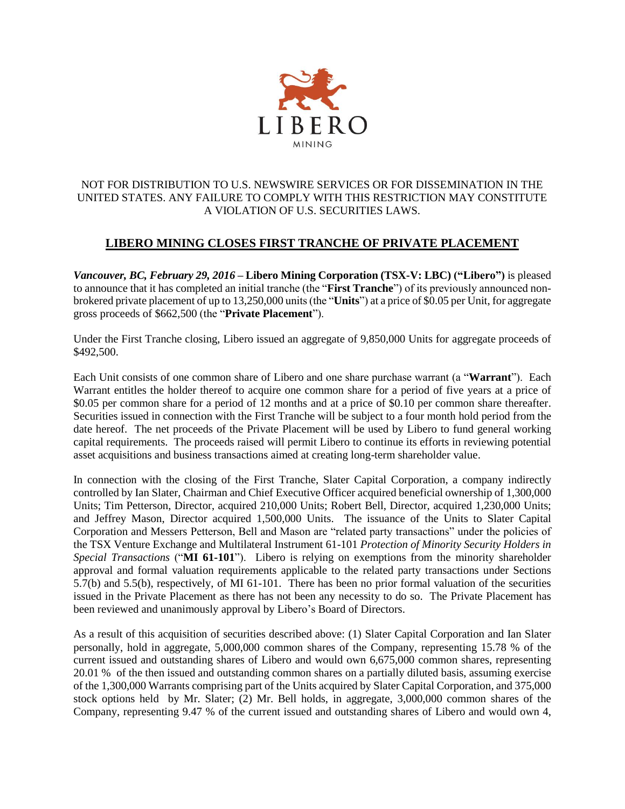

## NOT FOR DISTRIBUTION TO U.S. NEWSWIRE SERVICES OR FOR DISSEMINATION IN THE UNITED STATES. ANY FAILURE TO COMPLY WITH THIS RESTRICTION MAY CONSTITUTE A VIOLATION OF U.S. SECURITIES LAWS.

## **LIBERO MINING CLOSES FIRST TRANCHE OF PRIVATE PLACEMENT**

*Vancouver, BC, February 29, 2016* **– Libero Mining Corporation (TSX-V: LBC) ("Libero")** is pleased to announce that it has completed an initial tranche (the "**First Tranche**") of its previously announced nonbrokered private placement of up to 13,250,000 units (the "**Units**") at a price of \$0.05 per Unit, for aggregate gross proceeds of \$662,500 (the "**Private Placement**").

Under the First Tranche closing, Libero issued an aggregate of 9,850,000 Units for aggregate proceeds of \$492,500.

Each Unit consists of one common share of Libero and one share purchase warrant (a "**Warrant**"). Each Warrant entitles the holder thereof to acquire one common share for a period of five years at a price of \$0.05 per common share for a period of 12 months and at a price of \$0.10 per common share thereafter. Securities issued in connection with the First Tranche will be subject to a four month hold period from the date hereof. The net proceeds of the Private Placement will be used by Libero to fund general working capital requirements. The proceeds raised will permit Libero to continue its efforts in reviewing potential asset acquisitions and business transactions aimed at creating long-term shareholder value.

In connection with the closing of the First Tranche, Slater Capital Corporation, a company indirectly controlled by Ian Slater, Chairman and Chief Executive Officer acquired beneficial ownership of 1,300,000 Units; Tim Petterson, Director, acquired 210,000 Units; Robert Bell, Director, acquired 1,230,000 Units; and Jeffrey Mason, Director acquired 1,500,000 Units. The issuance of the Units to Slater Capital Corporation and Messers Petterson, Bell and Mason are "related party transactions" under the policies of the TSX Venture Exchange and Multilateral Instrument 61-101 *Protection of Minority Security Holders in Special Transactions* ("**MI 61-101**"). Libero is relying on exemptions from the minority shareholder approval and formal valuation requirements applicable to the related party transactions under Sections 5.7(b) and 5.5(b), respectively, of MI 61-101. There has been no prior formal valuation of the securities issued in the Private Placement as there has not been any necessity to do so. The Private Placement has been reviewed and unanimously approval by Libero's Board of Directors.

As a result of this acquisition of securities described above: (1) Slater Capital Corporation and Ian Slater personally, hold in aggregate, 5,000,000 common shares of the Company, representing 15.78 % of the current issued and outstanding shares of Libero and would own 6,675,000 common shares, representing 20.01 % of the then issued and outstanding common shares on a partially diluted basis, assuming exercise of the 1,300,000 Warrants comprising part of the Units acquired by Slater Capital Corporation, and 375,000 stock options held by Mr. Slater; (2) Mr. Bell holds, in aggregate, 3,000,000 common shares of the Company, representing 9.47 % of the current issued and outstanding shares of Libero and would own 4,